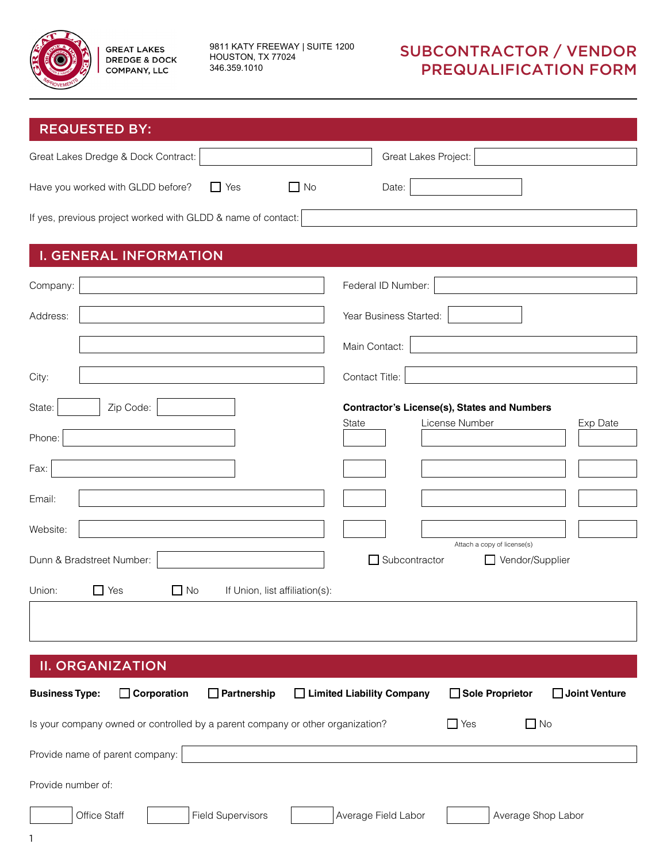

9811 KATY FREEWAY | SUITE 1200 HOUSTON, TX 77024 346.359.1010

| <b>REQUESTED BY:</b>                                                                                                                                                                                                                                                         |                                                                                                                                                                              |  |
|------------------------------------------------------------------------------------------------------------------------------------------------------------------------------------------------------------------------------------------------------------------------------|------------------------------------------------------------------------------------------------------------------------------------------------------------------------------|--|
| Great Lakes Dredge & Dock Contract:                                                                                                                                                                                                                                          | Great Lakes Project:                                                                                                                                                         |  |
| $\Box$ Yes<br>$\Box$ No<br>Have you worked with GLDD before?                                                                                                                                                                                                                 | Date:                                                                                                                                                                        |  |
| If yes, previous project worked with GLDD & name of contact:                                                                                                                                                                                                                 |                                                                                                                                                                              |  |
| <b>I. GENERAL INFORMATION</b>                                                                                                                                                                                                                                                |                                                                                                                                                                              |  |
| Company:                                                                                                                                                                                                                                                                     | Federal ID Number:                                                                                                                                                           |  |
| Address:                                                                                                                                                                                                                                                                     | Year Business Started:                                                                                                                                                       |  |
|                                                                                                                                                                                                                                                                              | Main Contact:                                                                                                                                                                |  |
| City:                                                                                                                                                                                                                                                                        | Contact Title:                                                                                                                                                               |  |
| State:<br>Zip Code:<br>Phone:<br>Fax:<br>Email:<br>Website:<br>Dunn & Bradstreet Number:<br>$\Box$ Yes<br>$\Box$ No<br>If Union, list affiliation(s):<br>Union:                                                                                                              | <b>Contractor's License(s), States and Numbers</b><br>License Number<br>State<br>Exp Date<br>Attach a copy of license(s)<br>Subcontractor<br>Vendor/Supplier<br>$\mathsf{L}$ |  |
| <b>II. ORGANIZATION</b><br>$\Box$ Partnership<br>Sole Proprietor<br>Joint Venture<br>$\Box$ Corporation<br>□ Limited Liability Company<br><b>Business Type:</b><br>$\Box$ No<br>Is your company owned or controlled by a parent company or other organization?<br>$\Box$ Yes |                                                                                                                                                                              |  |
| Provide name of parent company:                                                                                                                                                                                                                                              |                                                                                                                                                                              |  |
| Provide number of:                                                                                                                                                                                                                                                           |                                                                                                                                                                              |  |
| Office Staff<br><b>Field Supervisors</b>                                                                                                                                                                                                                                     | Average Field Labor<br>Average Shop Labor                                                                                                                                    |  |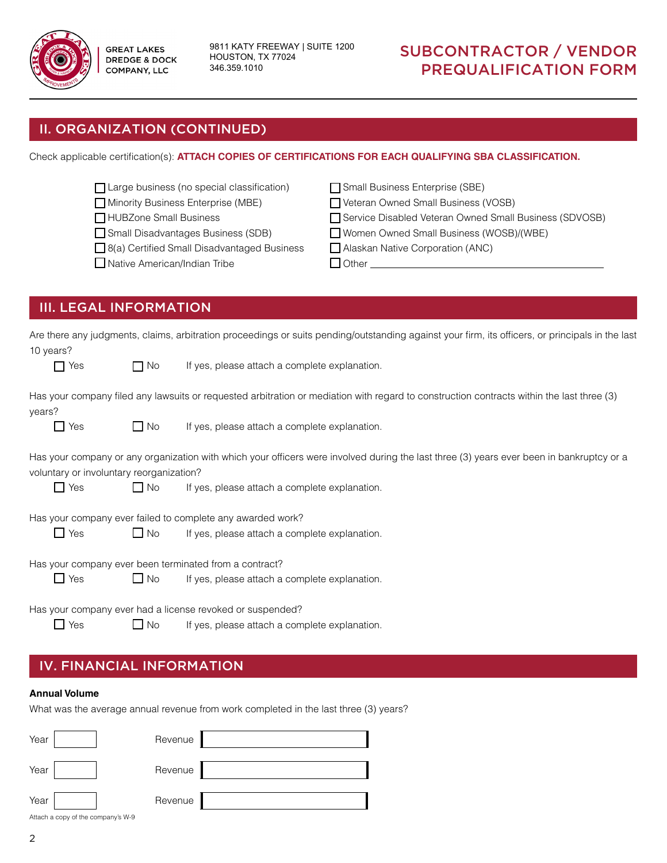

9811 KATY FREEWAY | SUITE 1200 HOUSTON, TX 77024 346.359.1010

## SUBCONTRACTOR / VENDOR PREQUALIFICATION FORM

### II. ORGANIZATION (CONTINUED)

Check applicable certification(s): **ATTACH COPIES OF CERTIFICATIONS FOR EACH QUALIFYING SBA CLASSIFICATION.**

| Large business (no special classification)         | Small Business Enterprise (SBE)                        |
|----------------------------------------------------|--------------------------------------------------------|
| Minority Business Enterprise (MBE)                 | Veteran Owned Small Business (VOSB)                    |
| HUBZone Small Business                             | Service Disabled Veteran Owned Small Business (SDVOSB) |
| Small Disadvantages Business (SDB)                 | Women Owned Small Business (WOSB)/(WBE)                |
| $\Box$ 8(a) Certified Small Disadvantaged Business | Alaskan Native Corporation (ANC)                       |
| Native American/Indian Tribe                       | <b>Other</b>                                           |
|                                                    |                                                        |

### III. LEGAL INFORMATION

| 10 years?    |                                          |           | Are there any judgments, claims, arbitration proceedings or suits pending/outstanding against your firm, its officers, or principals in the last |
|--------------|------------------------------------------|-----------|--------------------------------------------------------------------------------------------------------------------------------------------------|
| $\mathsf{L}$ | Yes                                      | $\Box$ No | If yes, please attach a complete explanation.                                                                                                    |
| years?       |                                          |           | Has your company filed any lawsuits or requested arbitration or mediation with regard to construction contracts within the last three (3)        |
|              | $\Box$ Yes                               | $\Box$ No | If yes, please attach a complete explanation.                                                                                                    |
|              | voluntary or involuntary reorganization? |           | Has your company or any organization with which your officers were involved during the last three (3) years ever been in bankruptcy or a         |
|              | $\Box$ Yes                               | $\Box$ No | If yes, please attach a complete explanation.                                                                                                    |
|              |                                          |           | Has your company ever failed to complete any awarded work?                                                                                       |
|              | $\Box$ Yes                               | $\Box$ No | If yes, please attach a complete explanation.                                                                                                    |
|              |                                          |           | Has your company ever been terminated from a contract?                                                                                           |
|              | $\Box$ Yes                               | $\Box$ No | If yes, please attach a complete explanation.                                                                                                    |
|              |                                          |           | Has your company ever had a license revoked or suspended?                                                                                        |
|              | $\Box$ Yes                               | $\Box$ No | If yes, please attach a complete explanation.                                                                                                    |

### IV. FINANCIAL INFORMATION

#### **Annual Volume**

What was the average annual revenue from work completed in the last three (3) years?

| Year | Revenue |  |
|------|---------|--|
| Year | Revenue |  |
| Year | Revenue |  |

Attach a copy of the company's W-9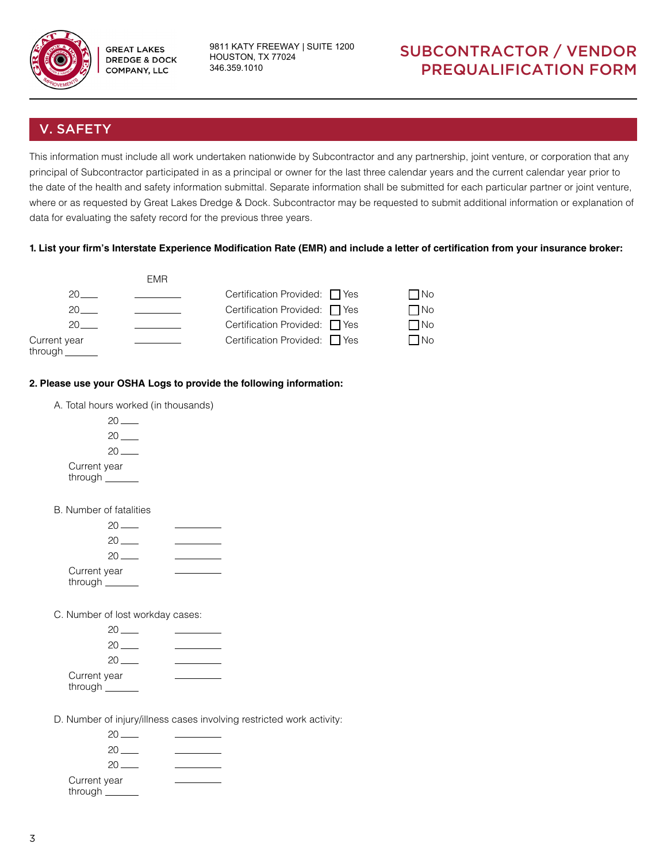

9811 KATY FREEWAY | SUITE 1200 HOUSTON, TX 77024 346.359.1010

## SUBCONTRACTOR / VENDOR PREQUALIFICATION FORM

### V. SAFETY

This information must include all work undertaken nationwide by Subcontractor and any partnership, joint venture, or corporation that any principal of Subcontractor participated in as a principal or owner for the last three calendar years and the current calendar year prior to the date of the health and safety information submittal. Separate information shall be submitted for each particular partner or joint venture, where or as requested by Great Lakes Dredge & Dock. Subcontractor may be requested to submit additional information or explanation of data for evaluating the safety record for the previous three years.

#### **1. List your firm's Interstate Experience Modification Rate (EMR) and include a letter of certification from your insurance broker:**



#### **2. Please use your OSHA Logs to provide the following information:**

- A. Total hours worked (in thousands)
	- $20$   $20$  —  $20$  — Current year through
- B. Number of fatalities

| $20$ $-$     |  |
|--------------|--|
| 20           |  |
| $20 -$       |  |
| Current year |  |
| through ___  |  |
|              |  |

C. Number of lost workday cases:

| $20 -$                      |  |
|-----------------------------|--|
| 20                          |  |
| 20.                         |  |
| Current year<br>through ___ |  |

D. Number of injury/illness cases involving restricted work activity:

| 20 L                        |  |
|-----------------------------|--|
| 20                          |  |
| $20 -$                      |  |
| Current year<br>through ___ |  |
|                             |  |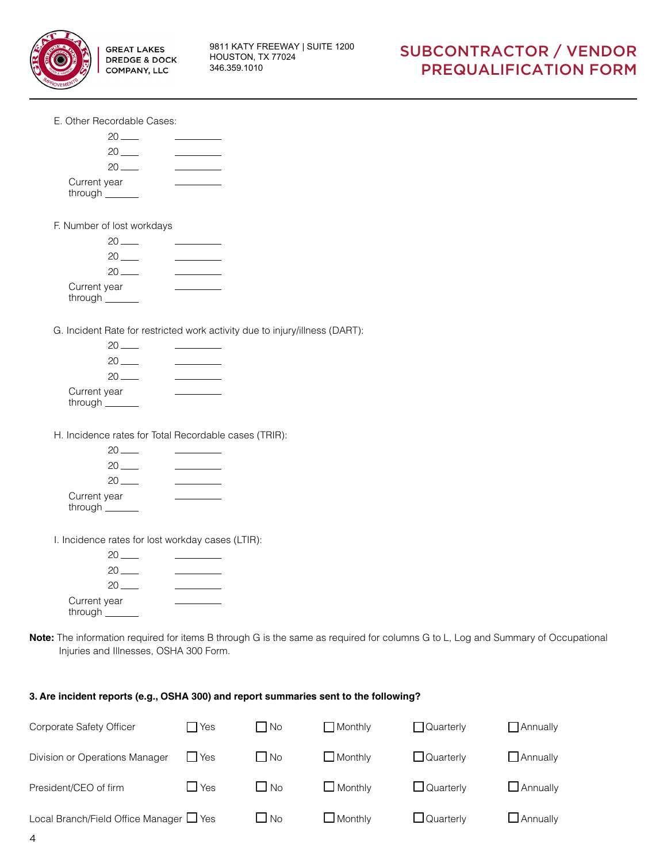

|  | E. Other Recordable Cases: |  |
|--|----------------------------|--|
|--|----------------------------|--|



| 20.          |  |
|--------------|--|
| 20           |  |
| 20           |  |
| Current year |  |
| through _    |  |

G. Incident Rate for restricted work activity due to injury/illness (DART):

| 20.                       |  |
|---------------------------|--|
| 20                        |  |
| 20                        |  |
| Current year<br>through _ |  |

H. Incidence rates for Total Recordable cases (TRIR):

| 20.                        |  |
|----------------------------|--|
| 20                         |  |
| 20                         |  |
| Current year<br>through __ |  |

I. Incidence rates for lost workday cases (LTIR):

| 20.                       |  |
|---------------------------|--|
| 20.                       |  |
| 20.                       |  |
| Current year<br>through _ |  |

**Note:** The information required for items B through G is the same as required for columns G to L, Log and Summary of Occupational Injuries and Illnesses, OSHA 300 Form.

#### **3. Are incident reports (e.g., OSHA 300) and report summaries sent to the following?**

| Corporate Safety Officer                | <b>T</b> Yes | l No      | $\Box$ Monthly | $\Box$ Quarterly | $\Box$ Annually |
|-----------------------------------------|--------------|-----------|----------------|------------------|-----------------|
| Division or Operations Manager          | <b>I</b> Yes | $\Box$ No | $\Box$ Monthly | $\Box$ Quarterly | $\Box$ Annually |
| President/CEO of firm                   | $\Box$ Yes   | $\Box$ No | $\Box$ Monthly | $\Box$ Quarterly | $\Box$ Annually |
| Local Branch/Field Office Manager ■ Yes |              | $\Box$ No | $\Box$ Monthly | $\Box$ Quarterly | $\Box$ Annually |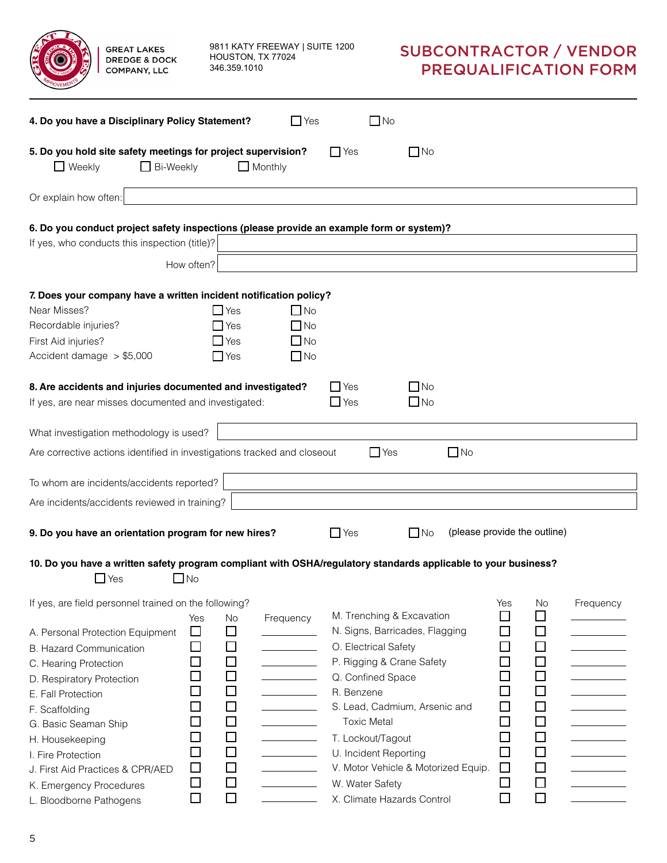| <b>GREAT LAKES</b><br><b>DREDGE &amp; DOCK</b><br><b>COMPANY, LLC</b>                                                                                                                                                                                                 |                                                                            | 346.359.1010                                                            | 9811 KATY FREEWAY   SUITE 1200<br>HOUSTON, TX 77024 |                                                                                                                             |                                                                                                                                     |                              |                                                                                             |                                                                              | <b>SUBCONTRACTOR / VENDOR</b><br><b>PREQUALIFICATION FORM</b> |
|-----------------------------------------------------------------------------------------------------------------------------------------------------------------------------------------------------------------------------------------------------------------------|----------------------------------------------------------------------------|-------------------------------------------------------------------------|-----------------------------------------------------|-----------------------------------------------------------------------------------------------------------------------------|-------------------------------------------------------------------------------------------------------------------------------------|------------------------------|---------------------------------------------------------------------------------------------|------------------------------------------------------------------------------|---------------------------------------------------------------|
| 4. Do you have a Disciplinary Policy Statement?                                                                                                                                                                                                                       |                                                                            |                                                                         | $\Box$ Yes                                          |                                                                                                                             | $\Box$ No                                                                                                                           |                              |                                                                                             |                                                                              |                                                               |
| 5. Do you hold site safety meetings for project supervision?<br>$\Box$ Weekly<br>$\Box$ Bi-Weekly                                                                                                                                                                     |                                                                            |                                                                         | $\Box$ Monthly                                      | $\Box$ Yes                                                                                                                  | $\Box$ No                                                                                                                           |                              |                                                                                             |                                                                              |                                                               |
| Or explain how often:                                                                                                                                                                                                                                                 |                                                                            |                                                                         |                                                     |                                                                                                                             |                                                                                                                                     |                              |                                                                                             |                                                                              |                                                               |
| 6. Do you conduct project safety inspections (please provide an example form or system)?<br>If yes, who conducts this inspection (title)?                                                                                                                             | How often?                                                                 |                                                                         |                                                     |                                                                                                                             |                                                                                                                                     |                              |                                                                                             |                                                                              |                                                               |
|                                                                                                                                                                                                                                                                       |                                                                            |                                                                         |                                                     |                                                                                                                             |                                                                                                                                     |                              |                                                                                             |                                                                              |                                                               |
| 7. Does your company have a written incident notification policy?<br>Near Misses?<br>Recordable injuries?<br>First Aid injuries?<br>Accident damage $> $5,000$                                                                                                        |                                                                            | $\Box$ Yes<br>$\Box$ Yes<br>$\Box$ Yes<br>$\Box$ Yes                    | $\Box$ No<br>$\Box$ No<br>$\Box$ No<br>$\square$ No |                                                                                                                             |                                                                                                                                     |                              |                                                                                             |                                                                              |                                                               |
| 8. Are accidents and injuries documented and investigated?<br>If yes, are near misses documented and investigated:                                                                                                                                                    |                                                                            |                                                                         |                                                     | $\Box$ Yes<br>$\Box$ Yes                                                                                                    | $\Box$ No<br>$\Box$ No                                                                                                              |                              |                                                                                             |                                                                              |                                                               |
| What investigation methodology is used?                                                                                                                                                                                                                               |                                                                            |                                                                         |                                                     |                                                                                                                             |                                                                                                                                     |                              |                                                                                             |                                                                              |                                                               |
| Are corrective actions identified in investigations tracked and closeout                                                                                                                                                                                              |                                                                            |                                                                         |                                                     |                                                                                                                             | $\Box$ Yes                                                                                                                          | $\Box$ No                    |                                                                                             |                                                                              |                                                               |
| To whom are incidents/accidents reported?                                                                                                                                                                                                                             |                                                                            |                                                                         |                                                     |                                                                                                                             |                                                                                                                                     |                              |                                                                                             |                                                                              |                                                               |
| Are incidents/accidents reviewed in training?                                                                                                                                                                                                                         |                                                                            |                                                                         |                                                     |                                                                                                                             |                                                                                                                                     |                              |                                                                                             |                                                                              |                                                               |
| 9. Do you have an orientation program for new hires?<br>10. Do you have a written safety program compliant with OSHA/regulatory standards applicable to your business?<br>$\Box$ Yes                                                                                  | $\Box$ No                                                                  |                                                                         |                                                     | $\Box$ Yes                                                                                                                  | $\Box$ No                                                                                                                           | (please provide the outline) |                                                                                             |                                                                              |                                                               |
| If yes, are field personnel trained on the following?                                                                                                                                                                                                                 | Yes                                                                        | No                                                                      | Frequency                                           |                                                                                                                             | M. Trenching & Excavation                                                                                                           |                              | Yes<br>□                                                                                    | <b>No</b><br>$\Box$                                                          | Frequency                                                     |
| A. Personal Protection Equipment<br><b>B. Hazard Communication</b><br>C. Hearing Protection<br>D. Respiratory Protection<br>E. Fall Protection<br>F. Scaffolding<br>G. Basic Seaman Ship<br>H. Housekeeping<br>I. Fire Protection<br>J. First Aid Practices & CPR/AED | □<br>$\Box$<br>$\blacksquare$<br>$\Box$<br>$\Box$<br>$\Box$<br>$\Box$<br>□ | □<br>□<br>□<br>□<br>□<br>$\Box$<br>$\Box$<br>$\Box$<br>$\Box$<br>$\Box$ | <b>Contract Contract Contract</b>                   | O. Electrical Safety<br>Q. Confined Space<br>R. Benzene<br><b>Toxic Metal</b><br>T. Lockout/Tagout<br>U. Incident Reporting | N. Signs, Barricades, Flagging<br>P. Rigging & Crane Safety<br>S. Lead, Cadmium, Arsenic and<br>V. Motor Vehicle & Motorized Equip. |                              | $\Box$<br>$\Box$<br>$\Box$<br>$\Box$<br>$\Box$<br>$\Box$<br>$\Box$<br>$\Box$<br>$\Box$<br>□ | $\Box$<br>$\Box$<br>□<br>□<br>□<br>$\Box$<br>$\Box$<br>$\Box$<br>□<br>$\Box$ |                                                               |
| K. Emergency Procedures<br>L. Bloodborne Pathogens                                                                                                                                                                                                                    | $\Box$<br>□                                                                | $\Box$<br>□                                                             |                                                     | W. Water Safety                                                                                                             | X. Climate Hazards Control                                                                                                          |                              | □<br>$\Box$                                                                                 | □<br>$\Box$                                                                  |                                                               |

| L. Bloodborne Pathogens |  |
|-------------------------|--|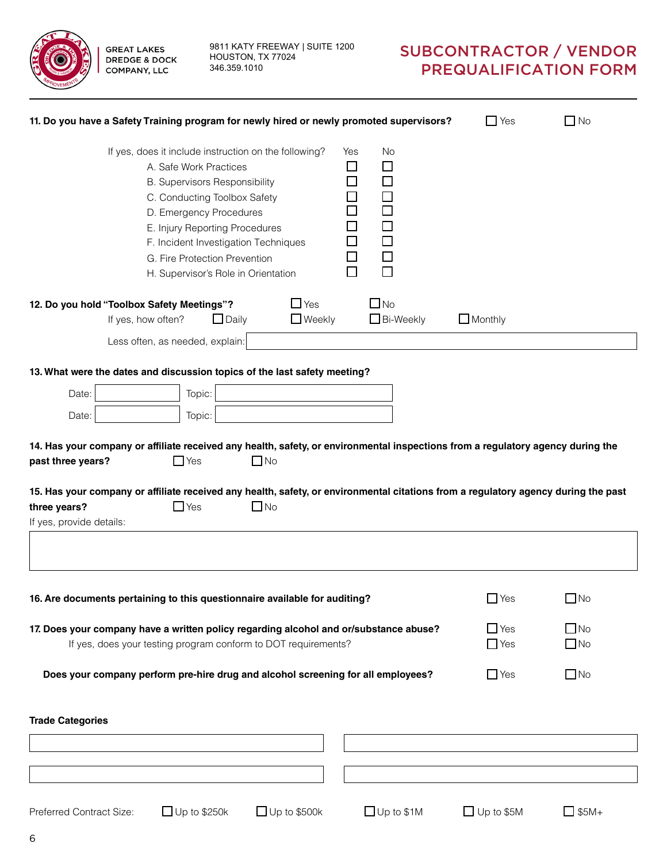**GREAT LAKES** 

**COMPANY, LLC** 

9811 KATY FREEWAY | SUITE 1200 **DREDGE & DOCK** HOUSTON, TX 77024 346.359.1010

| 11. Do you have a Safety Training program for newly hired or newly promoted supervisors? |                                                                                                                                                                                                                                                                                                                                      |                                                                |                                                                                                                |                   | $\Box$ Yes<br>$\square$ No                                                                                                         |
|------------------------------------------------------------------------------------------|--------------------------------------------------------------------------------------------------------------------------------------------------------------------------------------------------------------------------------------------------------------------------------------------------------------------------------------|----------------------------------------------------------------|----------------------------------------------------------------------------------------------------------------|-------------------|------------------------------------------------------------------------------------------------------------------------------------|
|                                                                                          | If yes, does it include instruction on the following?<br>A. Safe Work Practices<br><b>B. Supervisors Responsibility</b><br>C. Conducting Toolbox Safety<br>D. Emergency Procedures<br>E. Injury Reporting Procedures<br>F. Incident Investigation Techniques<br>G. Fire Protection Prevention<br>H. Supervisor's Role in Orientation |                                                                | No<br>Yes<br>□<br>ΙI<br>$\Box$<br>$\Box$<br>$\Box$<br>П<br>$\Box$<br>$\Box$<br>$\Box$<br>$\Box$<br>$\Box$<br>П |                   |                                                                                                                                    |
| 12. Do you hold "Toolbox Safety Meetings"?                                               |                                                                                                                                                                                                                                                                                                                                      | $\Box$ Yes                                                     | $\Box$ No                                                                                                      |                   |                                                                                                                                    |
| If yes, how often?                                                                       | $\Box$ Daily                                                                                                                                                                                                                                                                                                                         | $\Box$ Weekly                                                  | $\Box$ Bi-Weekly                                                                                               | $\Box$ Monthly    |                                                                                                                                    |
|                                                                                          | Less often, as needed, explain:                                                                                                                                                                                                                                                                                                      |                                                                |                                                                                                                |                   |                                                                                                                                    |
|                                                                                          |                                                                                                                                                                                                                                                                                                                                      |                                                                |                                                                                                                |                   |                                                                                                                                    |
| 13. What were the dates and discussion topics of the last safety meeting?                |                                                                                                                                                                                                                                                                                                                                      |                                                                |                                                                                                                |                   |                                                                                                                                    |
| Date:                                                                                    | Topic:                                                                                                                                                                                                                                                                                                                               |                                                                |                                                                                                                |                   |                                                                                                                                    |
| Date:                                                                                    | Topic:                                                                                                                                                                                                                                                                                                                               |                                                                |                                                                                                                |                   |                                                                                                                                    |
| past three years?                                                                        | $\Box$ Yes                                                                                                                                                                                                                                                                                                                           | $\Box$ No                                                      |                                                                                                                |                   | 14. Has your company or affiliate received any health, safety, or environmental inspections from a regulatory agency during the    |
| three years?                                                                             | $\Box$ Yes                                                                                                                                                                                                                                                                                                                           | $\square$ No                                                   |                                                                                                                |                   | 15. Has your company or affiliate received any health, safety, or environmental citations from a regulatory agency during the past |
| If yes, provide details:                                                                 |                                                                                                                                                                                                                                                                                                                                      |                                                                |                                                                                                                |                   |                                                                                                                                    |
| 16. Are documents pertaining to this questionnaire available for auditing?               |                                                                                                                                                                                                                                                                                                                                      |                                                                |                                                                                                                |                   | $\Box$ Yes<br>$\Box$ No                                                                                                            |
|                                                                                          |                                                                                                                                                                                                                                                                                                                                      |                                                                |                                                                                                                |                   |                                                                                                                                    |
| 17. Does your company have a written policy regarding alcohol and or/substance abuse?    |                                                                                                                                                                                                                                                                                                                                      | If yes, does your testing program conform to DOT requirements? |                                                                                                                |                   | $\Box$ Yes<br>$\Box$ No<br>$\Box$ No<br>$\Box$ Yes                                                                                 |
|                                                                                          |                                                                                                                                                                                                                                                                                                                                      |                                                                |                                                                                                                |                   |                                                                                                                                    |
| Does your company perform pre-hire drug and alcohol screening for all employees?         |                                                                                                                                                                                                                                                                                                                                      |                                                                |                                                                                                                |                   | $\Box$ No<br>$\Box$ Yes                                                                                                            |
| <b>Trade Categories</b>                                                                  |                                                                                                                                                                                                                                                                                                                                      |                                                                |                                                                                                                |                   |                                                                                                                                    |
|                                                                                          |                                                                                                                                                                                                                                                                                                                                      |                                                                |                                                                                                                |                   |                                                                                                                                    |
|                                                                                          |                                                                                                                                                                                                                                                                                                                                      |                                                                |                                                                                                                |                   |                                                                                                                                    |
|                                                                                          |                                                                                                                                                                                                                                                                                                                                      |                                                                |                                                                                                                |                   |                                                                                                                                    |
| Preferred Contract Size:                                                                 | $\Box$ Up to \$250k                                                                                                                                                                                                                                                                                                                  | $\Box$ Up to \$500k                                            | $\Box$ Up to \$1M                                                                                              | $\Box$ Up to \$5M | $\Box$ \$5M+                                                                                                                       |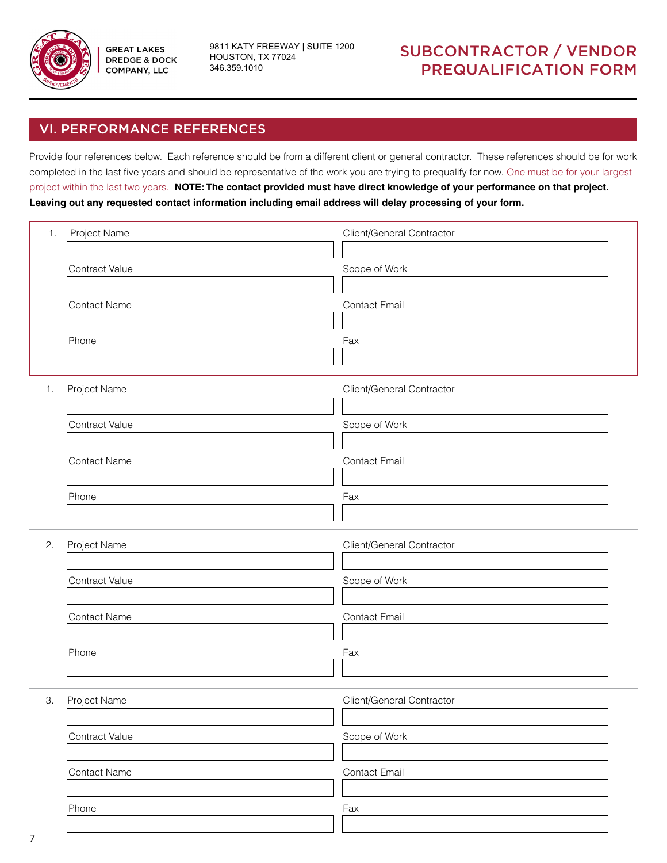

9811 KATY FREEWAY | SUITE 1200 HOUSTON, TX 77024 346.359.1010

### SUBCONTRACTOR / VENDOR PREQUALIFICATION FORM

### VI. PERFORMANCE REFERENCES

Provide four references below. Each reference should be from a different client or general contractor. These references should be for work completed in the last five years and should be representative of the work you are trying to prequalify for now. One must be for your largest project within the last two years. **NOTE: The contact provided must have direct knowledge of your performance on that project. Leaving out any requested contact information including email address will delay processing of your form.**

| 1. | Project Name        | Client/General Contractor<br>Scope of Work |  |  |  |  |
|----|---------------------|--------------------------------------------|--|--|--|--|
|    | Contract Value      |                                            |  |  |  |  |
|    | Contact Name        | <b>Contact Email</b>                       |  |  |  |  |
|    | Phone               | Fax                                        |  |  |  |  |
| 1. | Project Name        | Client/General Contractor                  |  |  |  |  |
|    | Contract Value      | Scope of Work                              |  |  |  |  |
|    | <b>Contact Name</b> | <b>Contact Email</b>                       |  |  |  |  |
|    | Phone               | Fax                                        |  |  |  |  |
| 2. | Project Name        | Client/General Contractor                  |  |  |  |  |
|    | Contract Value      | Scope of Work                              |  |  |  |  |
|    | Contact Name        | Contact Email                              |  |  |  |  |
|    | Phone               | Fax                                        |  |  |  |  |
| 3. | Project Name        | Client/General Contractor                  |  |  |  |  |
|    | Contract Value      | Scope of Work                              |  |  |  |  |
|    | Contact Name        | Contact Email                              |  |  |  |  |
|    | Phone               | Fax                                        |  |  |  |  |
|    |                     |                                            |  |  |  |  |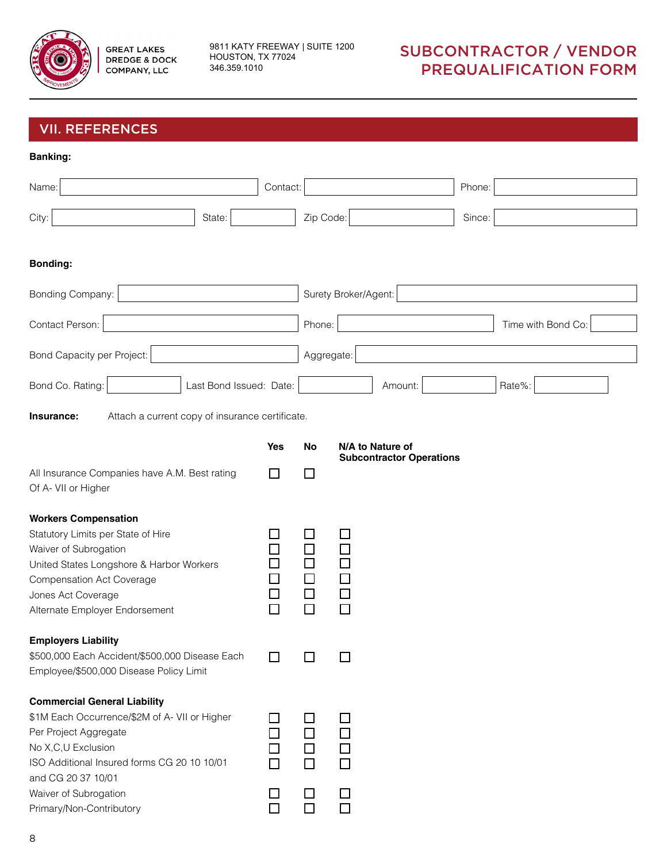

9811 KATY FREEWAY | SUITE 1200 HOUSTON, TX 77024 346.359.1010

| <b>VII. REFERENCES</b>                                                                                                                                                                                                                                        |                                              |                                                     |                                                          |
|---------------------------------------------------------------------------------------------------------------------------------------------------------------------------------------------------------------------------------------------------------------|----------------------------------------------|-----------------------------------------------------|----------------------------------------------------------|
| <b>Banking:</b>                                                                                                                                                                                                                                               |                                              |                                                     |                                                          |
| Name:                                                                                                                                                                                                                                                         | Contact:                                     |                                                     | Phone:                                                   |
| State:<br>City:                                                                                                                                                                                                                                               |                                              | Zip Code:                                           | Since:                                                   |
| <b>Bonding:</b>                                                                                                                                                                                                                                               |                                              |                                                     |                                                          |
| Bonding Company:                                                                                                                                                                                                                                              |                                              |                                                     | Surety Broker/Agent:                                     |
| Contact Person:                                                                                                                                                                                                                                               |                                              | Phone:                                              | Time with Bond Co:                                       |
| Bond Capacity per Project:                                                                                                                                                                                                                                    |                                              | Aggregate:                                          |                                                          |
| Bond Co. Rating:<br>Last Bond Issued: Date:                                                                                                                                                                                                                   |                                              |                                                     | Rate%:<br>Amount:                                        |
| Attach a current copy of insurance certificate.<br>Insurance:                                                                                                                                                                                                 |                                              |                                                     |                                                          |
|                                                                                                                                                                                                                                                               | <b>Yes</b>                                   | <b>No</b>                                           | N/A to Nature of                                         |
| All Insurance Companies have A.M. Best rating<br>Of A- VII or Higher                                                                                                                                                                                          | <b>College</b>                               | $\mathsf{L}$                                        | <b>Subcontractor Operations</b>                          |
| <b>Workers Compensation</b><br>Statutory Limits per State of Hire<br>Waiver of Subrogation<br>United States Longshore & Harbor Workers<br><b>Compensation Act Coverage</b><br>Jones Act Coverage<br>Alternate Employer Endorsement                            |                                              |                                                     | 0000<br>000                                              |
| <b>Employers Liability</b><br>\$500,000 Each Accident/\$500,000 Disease Each<br>Employee/\$500,000 Disease Policy Limit                                                                                                                                       | $\Box$                                       | $\mathbf{I}$                                        | ΙI                                                       |
| <b>Commercial General Liability</b><br>\$1M Each Occurrence/\$2M of A- VII or Higher<br>Per Project Aggregate<br>No X,C,U Exclusion<br>ISO Additional Insured forms CG 20 10 10/01<br>and CG 20 37 10/01<br>Waiver of Subrogation<br>Primary/Non-Contributory | $\blacksquare$<br>$\Box$<br>П<br>$\Box$<br>П | □<br>$\Box$<br>$\Box$<br>$\Box$<br>$\Box$<br>$\Box$ | $\Box$<br>$\Box$<br>$\Box$<br>$\Box$<br>$\Box$<br>$\Box$ |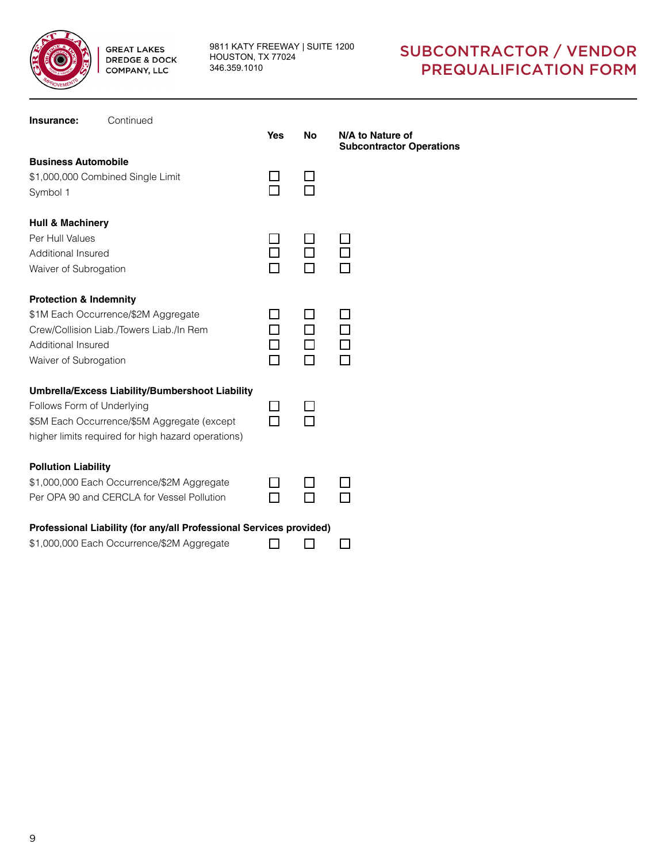

9811 KATY FREEWAY | SUITE 1200 HOUSTON, TX 77024 346.359.1010

| Insurance:                                                                                    | Continued                                                                                                                                            | <b>Yes</b> | <b>No</b> | N/A to Nature of<br><b>Subcontractor Operations</b> |
|-----------------------------------------------------------------------------------------------|------------------------------------------------------------------------------------------------------------------------------------------------------|------------|-----------|-----------------------------------------------------|
| <b>Business Automobile</b><br>Symbol 1                                                        | \$1,000,000 Combined Single Limit                                                                                                                    |            |           |                                                     |
| <b>Hull &amp; Machinery</b><br>Per Hull Values<br>Additional Insured<br>Waiver of Subrogation |                                                                                                                                                      |            |           |                                                     |
| <b>Protection &amp; Indemnity</b><br>Additional Insured<br>Waiver of Subrogation              | \$1M Each Occurrence/\$2M Aggregate<br>Crew/Collision Liab./Towers Liab./In Rem                                                                      |            |           |                                                     |
| Follows Form of Underlying                                                                    | Umbrella/Excess Liability/Bumbershoot Liability<br>\$5M Each Occurrence/\$5M Aggregate (except<br>higher limits required for high hazard operations) |            |           |                                                     |
| <b>Pollution Liability</b>                                                                    | \$1,000,000 Each Occurrence/\$2M Aggregate<br>Per OPA 90 and CERCLA for Vessel Pollution                                                             |            |           |                                                     |
|                                                                                               | Professional Liability (for any/all Professional Services provided)<br>\$1,000,000 Each Occurrence/\$2M Aggregate                                    |            |           |                                                     |